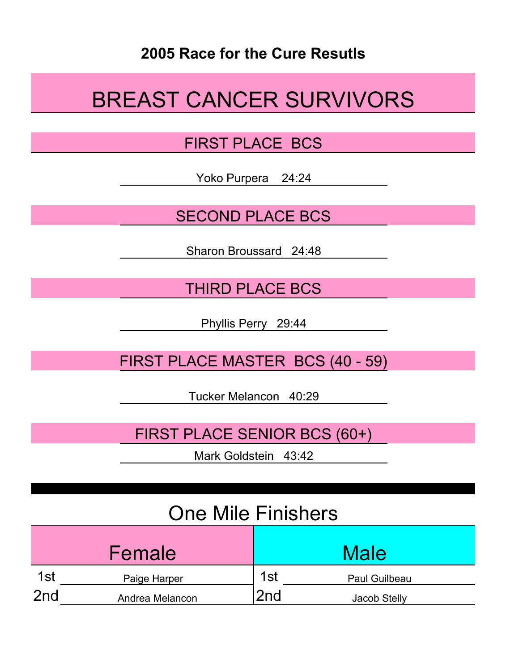#### **2005 Race for the Cure Resutls**

# BREAST CANCER SURVIVORS

#### FIRST PLACE BCS

Yoko Purpera 24:24

SECOND PLACE BCS

Sharon Broussard 24:48

THIRD PLACE BCS

Phyllis Perry 29:44

FIRST PLACE MASTER BCS (40 - 59)

Tucker Melancon 40:29

FIRST PLACE SENIOR BCS (60+)

Mark Goldstein 43:42

### One Mile Finishers

|                 | Female          |     | <b>Male</b>   |
|-----------------|-----------------|-----|---------------|
| 1st             | Paige Harper    | 1st | Paul Guilbeau |
| 2 <sub>nd</sub> | Andrea Melancon | 2nd | Jacob Stelly  |